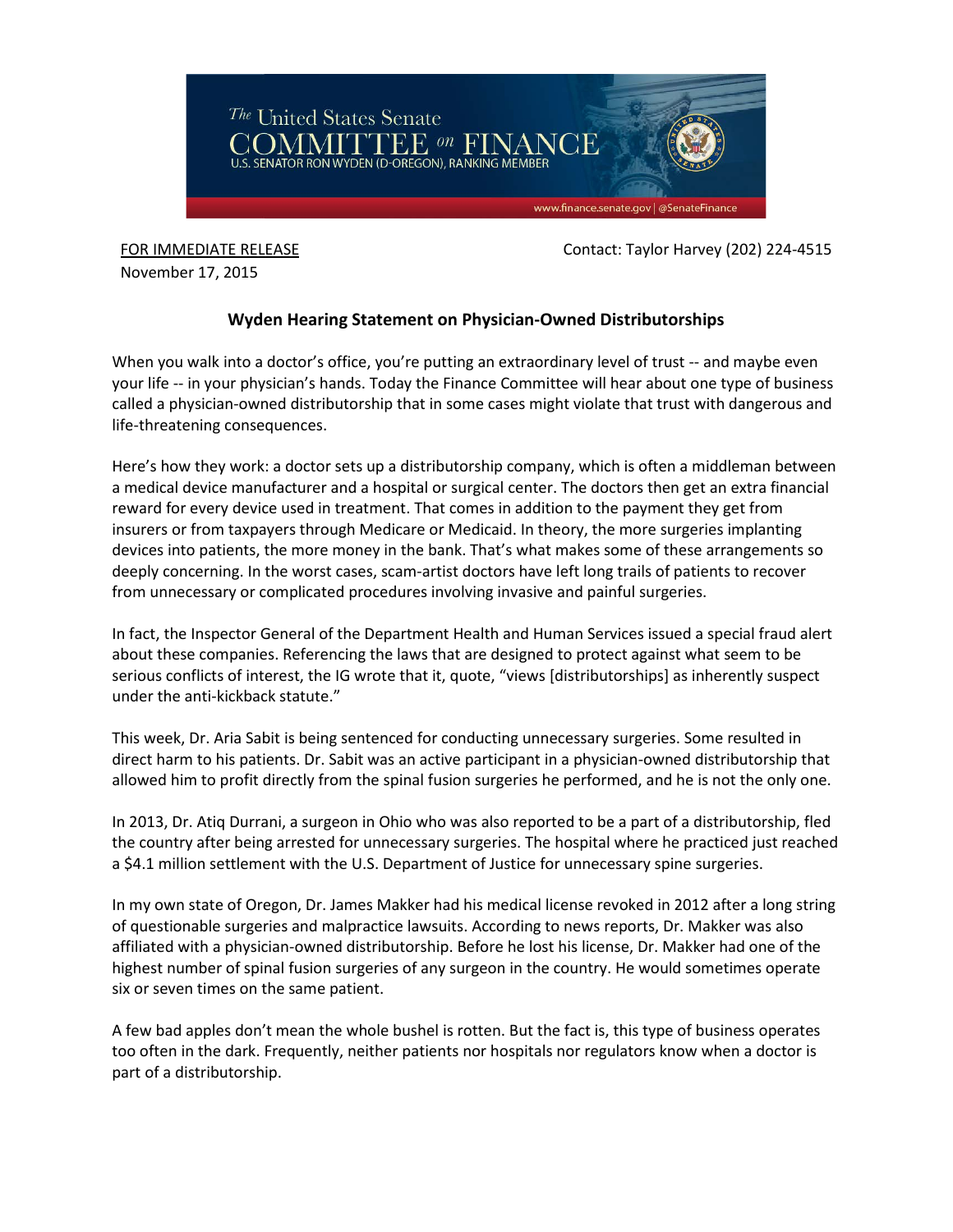

FOR IMMEDIATE RELEASE Contact: Taylor Harvey (202) 224-4515

November 17, 2015

## **Wyden Hearing Statement on Physician-Owned Distributorships**

When you walk into a doctor's office, you're putting an extraordinary level of trust -- and maybe even your life -- in your physician's hands. Today the Finance Committee will hear about one type of business called a physician-owned distributorship that in some cases might violate that trust with dangerous and life-threatening consequences.

Here's how they work: a doctor sets up a distributorship company, which is often a middleman between a medical device manufacturer and a hospital or surgical center. The doctors then get an extra financial reward for every device used in treatment. That comes in addition to the payment they get from insurers or from taxpayers through Medicare or Medicaid. In theory, the more surgeries implanting devices into patients, the more money in the bank. That's what makes some of these arrangements so deeply concerning. In the worst cases, scam-artist doctors have left long trails of patients to recover from unnecessary or complicated procedures involving invasive and painful surgeries.

In fact, the Inspector General of the Department Health and Human Services issued a special fraud alert about these companies. Referencing the laws that are designed to protect against what seem to be serious conflicts of interest, the IG wrote that it, quote, "views [distributorships] as inherently suspect under the anti-kickback statute."

This week, Dr. Aria Sabit is being sentenced for conducting unnecessary surgeries. Some resulted in direct harm to his patients. Dr. Sabit was an active participant in a physician-owned distributorship that allowed him to profit directly from the spinal fusion surgeries he performed, and he is not the only one.

In 2013, Dr. Atiq Durrani, a surgeon in Ohio who was also reported to be a part of a distributorship, fled the country after being arrested for unnecessary surgeries. The hospital where he practiced just reached a \$4.1 million settlement with the U.S. Department of Justice for unnecessary spine surgeries.

In my own state of Oregon, Dr. James Makker had his medical license revoked in 2012 after a long string of questionable surgeries and malpractice lawsuits. According to news reports, Dr. Makker was also affiliated with a physician-owned distributorship. Before he lost his license, Dr. Makker had one of the highest number of spinal fusion surgeries of any surgeon in the country. He would sometimes operate six or seven times on the same patient.

A few bad apples don't mean the whole bushel is rotten. But the fact is, this type of business operates too often in the dark. Frequently, neither patients nor hospitals nor regulators know when a doctor is part of a distributorship.